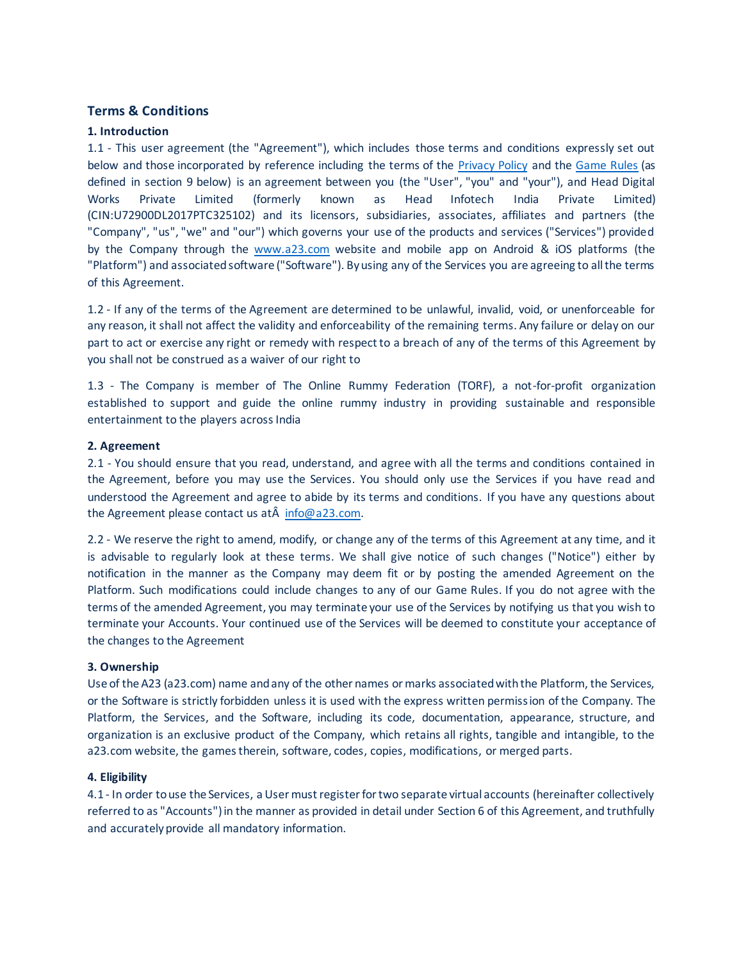# **Terms & Conditions**

# **1. Introduction**

1.1 - This user agreement (the "Agreement"), which includes those terms and conditions expressly set out below and those incorporated by reference including the terms of the Privacy Policy and the Game Rules (as defined in section 9 below) is an agreement between you (the "User", "you" and "your"), and Head Digital Works Private Limited (formerly known as Head Infotech India Private Limited) (CIN:U72900DL2017PTC325102) and its licensors, subsidiaries, associates, affiliates and partners (the "Company", "us", "we" and "our") which governs your use of the products and services ("Services") provided by the Company through the www.a23.com website and mobile app on Android & iOS platforms (the "Platform") and associated software ("Software"). By using any of the Services you are agreeing to all the terms of this Agreement.

1.2 - If any of the terms of the Agreement are determined to be unlawful, invalid, void, or unenforceable for any reason, it shall not affect the validity and enforceability of the remaining terms. Any failure or delay on our part to act or exercise any right or remedy with respect to a breach of any of the terms of this Agreement by you shall not be construed as a waiver of our right to

1.3 - The Company is member of The Online Rummy Federation (TORF), a not-for-profit organization established to support and guide the online rummy industry in providing sustainable and responsible entertainment to the players across India

### **2. Agreement**

2.1 - You should ensure that you read, understand, and agree with all the terms and conditions contained in the Agreement, before you may use the Services. You should only use the Services if you have read and understood the Agreement and agree to abide by its terms and conditions. If you have any questions about the Agreement please contact us at  $\hat{A}$  info@a23.com.

2.2 - We reserve the right to amend, modify, or change any of the terms of this Agreement at any time, and it is advisable to regularly look at these terms. We shall give notice of such changes ("Notice") either by notification in the manner as the Company may deem fit or by posting the amended Agreement on the Platform. Such modifications could include changes to any of our Game Rules. If you do not agree with the terms of the amended Agreement, you may terminate your use of the Services by notifying us that you wish to terminate your Accounts. Your continued use of the Services will be deemed to constitute your acceptance of the changes to the Agreement

# **3. Ownership**

Use of the A23 (a23.com) name and any of the other names or marks associated with the Platform, the Services, or the Software is strictly forbidden unless it is used with the express written permission of the Company. The Platform, the Services, and the Software, including its code, documentation, appearance, structure, and organization is an exclusive product of the Company, which retains all rights, tangible and intangible, to the a23.com website, the games therein, software, codes, copies, modifications, or merged parts.

# **4. Eligibility**

4.1 - In order to use the Services, a User must register for two separate virtual accounts (hereinafter collectively referred to as "Accounts") in the manner as provided in detail under Section 6 of this Agreement, and truthfully and accurately provide all mandatory information.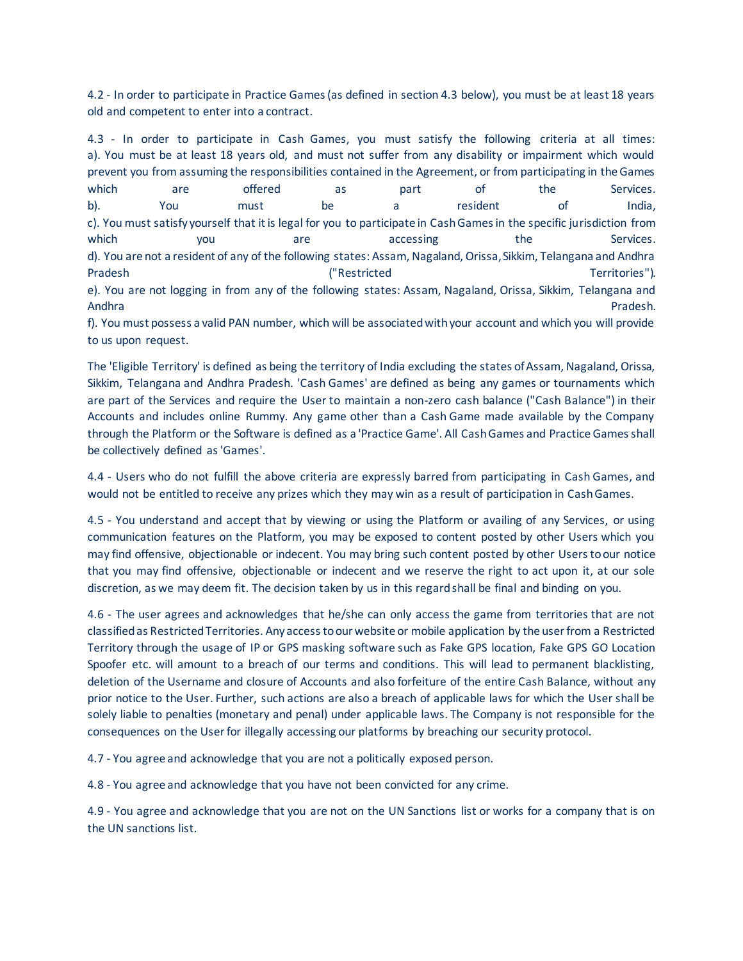4.2 - In order to participate in Practice Games (as defined in section 4.3 below), you must be at least 18 years old and competent to enter into a contract.

4.3 - In order to participate in Cash Games, you must satisfy the following criteria at all times: a). You must be at least 18 years old, and must not suffer from any disability or impairment which would prevent you from assuming the responsibilities contained in the Agreement, or from participating in the Games which are offered as part of the Services. b). You must be a resident of India, c). You must satisfy yourself that it is legal for you to participate in Cash Games in the specific jurisdiction from which **you** are accessing the Services. d). You are not a resident of any of the following states: Assam, Nagaland, Orissa, Sikkim, Telangana and Andhra Pradesh ("Restricted Territories"). e). You are not logging in from any of the following states: Assam, Nagaland, Orissa, Sikkim, Telangana and Andhra Pradesh.

f). You must possess a valid PAN number, which will be associated with your account and which you will provide to us upon request.

The 'Eligible Territory' is defined as being the territory of India excluding the states of Assam, Nagaland, Orissa, Sikkim, Telangana and Andhra Pradesh. 'Cash Games' are defined as being any games or tournaments which are part of the Services and require the User to maintain a non-zero cash balance ("Cash Balance") in their Accounts and includes online Rummy. Any game other than a Cash Game made available by the Company through the Platform or the Software is defined as a 'Practice Game'. All Cash Games and Practice Games shall be collectively defined as 'Games'.

4.4 - Users who do not fulfill the above criteria are expressly barred from participating in Cash Games, and would not be entitled to receive any prizes which they may win as a result of participation in Cash Games.

4.5 - You understand and accept that by viewing or using the Platform or availing of any Services, or using communication features on the Platform, you may be exposed to content posted by other Users which you may find offensive, objectionable or indecent. You may bring such content posted by other Users to our notice that you may find offensive, objectionable or indecent and we reserve the right to act upon it, at our sole discretion, as we may deem fit. The decision taken by us in this regard shall be final and binding on you.

4.6 - The user agrees and acknowledges that he/she can only access the game from territories that are not classified as Restricted Territories. Any access to our website or mobile application by the user from a Restricted Territory through the usage of IP or GPS masking software such as Fake GPS location, Fake GPS GO Location Spoofer etc. will amount to a breach of our terms and conditions. This will lead to permanent blacklisting, deletion of the Username and closure of Accounts and also forfeiture of the entire Cash Balance, without any prior notice to the User. Further, such actions are also a breach of applicable laws for which the User shall be solely liable to penalties (monetary and penal) under applicable laws. The Company is not responsible for the consequences on the User for illegally accessing our platforms by breaching our security protocol.

4.7 - You agree and acknowledge that you are not a politically exposed person.

4.8 - You agree and acknowledge that you have not been convicted for any crime.

4.9 - You agree and acknowledge that you are not on the UN Sanctions list or works for a company that is on the UN sanctions list.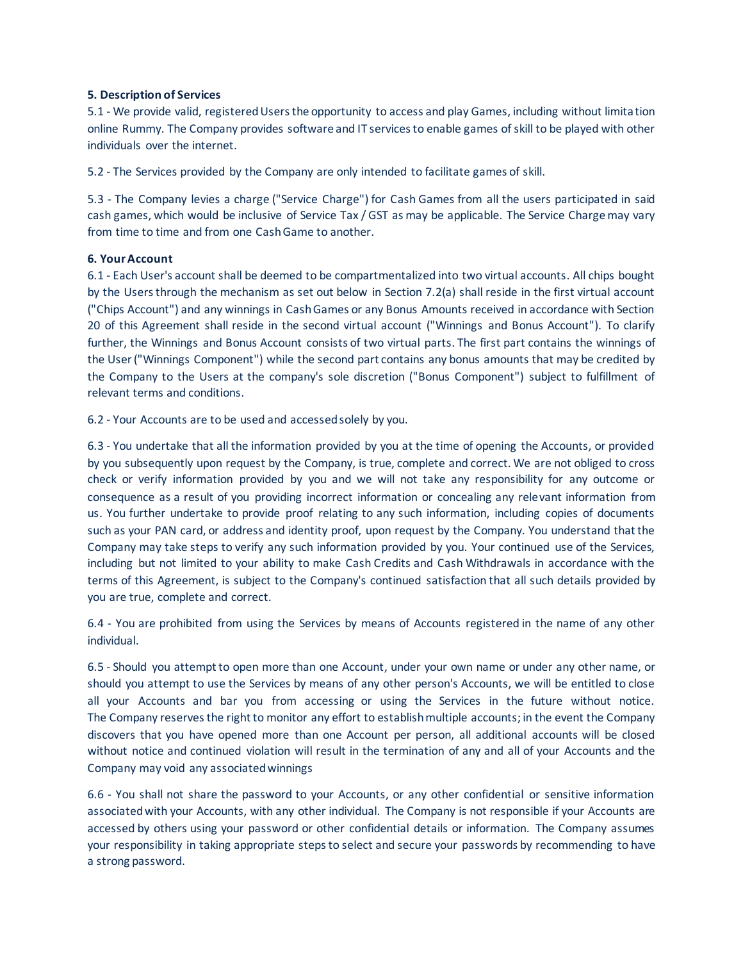# **5. Description of Services**

5.1 - We provide valid, registered Users the opportunity to access and play Games, including without limitation online Rummy. The Company provides software and IT services to enable games of skill to be played with other individuals over the internet.

5.2 - The Services provided by the Company are only intended to facilitate games of skill.

5.3 - The Company levies a charge ("Service Charge") for Cash Games from all the users participated in said cash games, which would be inclusive of Service Tax / GST as may be applicable. The Service Charge may vary from time to time and from one Cash Game to another.

### **6. Your Account**

6.1 - Each User's account shall be deemed to be compartmentalized into two virtual accounts. All chips bought by the Users through the mechanism as set out below in Section 7.2(a) shall reside in the first virtual account ("Chips Account") and any winnings in Cash Games or any Bonus Amounts received in accordance with Section 20 of this Agreement shall reside in the second virtual account ("Winnings and Bonus Account"). To clarify further, the Winnings and Bonus Account consists of two virtual parts. The first part contains the winnings of the User ("Winnings Component") while the second part contains any bonus amounts that may be credited by the Company to the Users at the company's sole discretion ("Bonus Component") subject to fulfillment of relevant terms and conditions.

6.2 - Your Accounts are to be used and accessed solely by you.

6.3 - You undertake that all the information provided by you at the time of opening the Accounts, or provided by you subsequently upon request by the Company, is true, complete and correct. We are not obliged to cross check or verify information provided by you and we will not take any responsibility for any outcome or consequence as a result of you providing incorrect information or concealing any relevant information from us. You further undertake to provide proof relating to any such information, including copies of documents such as your PAN card, or address and identity proof, upon request by the Company. You understand that the Company may take steps to verify any such information provided by you. Your continued use of the Services, including but not limited to your ability to make Cash Credits and Cash Withdrawals in accordance with the terms of this Agreement, is subject to the Company's continued satisfaction that all such details provided by you are true, complete and correct.

6.4 - You are prohibited from using the Services by means of Accounts registered in the name of any other individual.

6.5 - Should you attempt to open more than one Account, under your own name or under any other name, or should you attempt to use the Services by means of any other person's Accounts, we will be entitled to close all your Accounts and bar you from accessing or using the Services in the future without notice. The Company reserves the right to monitor any effort to establish multiple accounts; in the event the Company discovers that you have opened more than one Account per person, all additional accounts will be closed without notice and continued violation will result in the termination of any and all of your Accounts and the Company may void any associated winnings

6.6 - You shall not share the password to your Accounts, or any other confidential or sensitive information associated with your Accounts, with any other individual. The Company is not responsible if your Accounts are accessed by others using your password or other confidential details or information. The Company assumes your responsibility in taking appropriate steps to select and secure your passwords by recommending to have a strong password.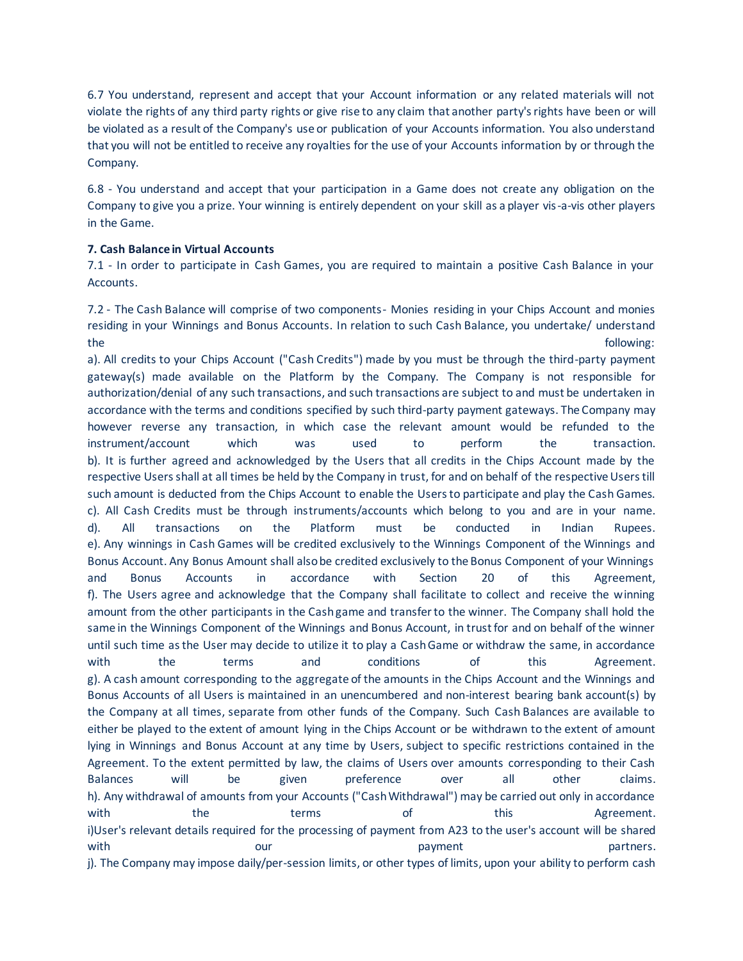6.7 You understand, represent and accept that your Account information or any related materials will not violate the rights of any third party rights or give rise to any claim that another party's rights have been or will be violated as a result of the Company's use or publication of your Accounts information. You also understand that you will not be entitled to receive any royalties for the use of your Accounts information by or through the Company.

6.8 - You understand and accept that your participation in a Game does not create any obligation on the Company to give you a prize. Your winning is entirely dependent on your skill as a player vis-a-vis other players in the Game.

# **7. Cash Balance in Virtual Accounts**

7.1 - In order to participate in Cash Games, you are required to maintain a positive Cash Balance in your Accounts.

7.2 - The Cash Balance will comprise of two components- Monies residing in your Chips Account and monies residing in your Winnings and Bonus Accounts. In relation to such Cash Balance, you undertake/ understand the following:

a). All credits to your Chips Account ("Cash Credits") made by you must be through the third-party payment gateway(s) made available on the Platform by the Company. The Company is not responsible for authorization/denial of any such transactions, and such transactions are subject to and must be undertaken in accordance with the terms and conditions specified by such third-party payment gateways. The Company may however reverse any transaction, in which case the relevant amount would be refunded to the instrument/account which was used to perform the transaction. b). It is further agreed and acknowledged by the Users that all credits in the Chips Account made by the respective Users shall at all times be held by the Company in trust, for and on behalf of the respective Users till such amount is deducted from the Chips Account to enable the Users to participate and play the Cash Games. c). All Cash Credits must be through instruments/accounts which belong to you and are in your name. d). All transactions on the Platform must be conducted in Indian Rupees. e). Any winnings in Cash Games will be credited exclusively to the Winnings Component of the Winnings and Bonus Account. Any Bonus Amount shall also be credited exclusively to the Bonus Component of your Winnings and Bonus Accounts in accordance with Section 20 of this Agreement, f). The Users agree and acknowledge that the Company shall facilitate to collect and receive the winning amount from the other participants in the Cash game and transfer to the winner. The Company shall hold the same in the Winnings Component of the Winnings and Bonus Account, in trust for and on behalf of the winner until such time as the User may decide to utilize it to play a Cash Game or withdraw the same, in accordance with the terms and conditions of this Agreement. g). A cash amount corresponding to the aggregate of the amounts in the Chips Account and the Winnings and Bonus Accounts of all Users is maintained in an unencumbered and non-interest bearing bank account(s) by the Company at all times, separate from other funds of the Company. Such Cash Balances are available to either be played to the extent of amount lying in the Chips Account or be withdrawn to the extent of amount lying in Winnings and Bonus Account at any time by Users, subject to specific restrictions contained in the Agreement. To the extent permitted by law, the claims of Users over amounts corresponding to their Cash Balances will be given preference over all other claims. h). Any withdrawal of amounts from your Accounts ("Cash Withdrawal") may be carried out only in accordance with the terms of this Agreement. i)User's relevant details required for the processing of payment from A23 to the user's account will be shared with our our payment partners. j). The Company may impose daily/per-session limits, or other types of limits, upon your ability to perform cash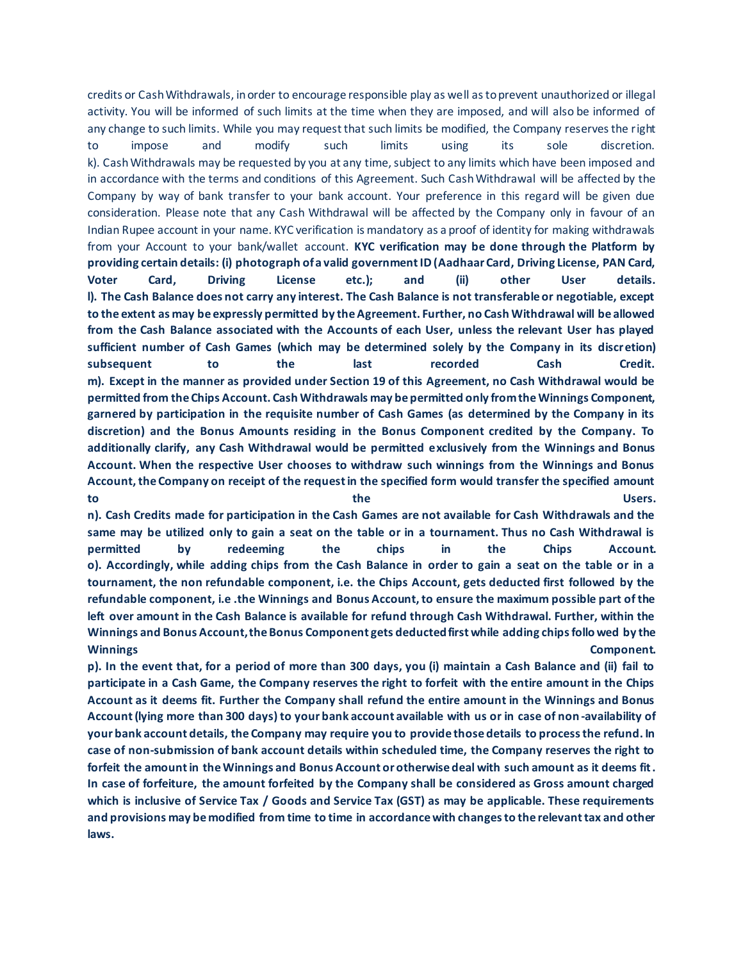credits or Cash Withdrawals, in order to encourage responsible play as well as to prevent unauthorized or illegal activity. You will be informed of such limits at the time when they are imposed, and will also be informed of any change to such limits. While you may request that such limits be modified, the Company reserves the right to impose and modify such limits using its sole discretion. k). Cash Withdrawals may be requested by you at any time, subject to any limits which have been imposed and in accordance with the terms and conditions of this Agreement. Such Cash Withdrawal will be affected by the Company by way of bank transfer to your bank account. Your preference in this regard will be given due consideration. Please note that any Cash Withdrawal will be affected by the Company only in favour of an Indian Rupee account in your name. KYC verification is mandatory as a proof of identity for making withdrawals from your Account to your bank/wallet account. **KYC verification may be done through the Platform by providing certain details: (i) photograph of a valid government ID (Aadhaar Card, Driving License, PAN Card, Voter Card, Driving License etc.); and (ii) other User details. l). The Cash Balance does not carry any interest. The Cash Balance is not transferable or negotiable, except to the extent as may be expressly permitted by the Agreement. Further, no Cash Withdrawal will be allowed from the Cash Balance associated with the Accounts of each User, unless the relevant User has played sufficient number of Cash Games (which may be determined solely by the Company in its discretion) subsequent to the last recorded Cash Credit. m). Except in the manner as provided under Section 19 of this Agreement, no Cash Withdrawal would be permitted from the Chips Account. Cash Withdrawals may be permitted only from the Winnings Component, garnered by participation in the requisite number of Cash Games (as determined by the Company in its discretion) and the Bonus Amounts residing in the Bonus Component credited by the Company. To additionally clarify, any Cash Withdrawal would be permitted exclusively from the Winnings and Bonus Account. When the respective User chooses to withdraw such winnings from the Winnings and Bonus Account, the Company on receipt of the request in the specified form would transfer the specified amount to the Users.**

**n). Cash Credits made for participation in the Cash Games are not available for Cash Withdrawals and the same may be utilized only to gain a seat on the table or in a tournament. Thus no Cash Withdrawal is permitted by redeeming the chips in the Chips Account. o). Accordingly, while adding chips from the Cash Balance in order to gain a seat on the table or in a tournament, the non refundable component, i.e. the Chips Account, gets deducted first followed by the refundable component, i.e .the Winnings and Bonus Account, to ensure the maximum possible part of the left over amount in the Cash Balance is available for refund through Cash Withdrawal. Further, within the Winnings and Bonus Account, the Bonus Component gets deducted first while adding chips followed by the Winnings Component.**

**p). In the event that, for a period of more than 300 days, you (i) maintain a Cash Balance and (ii) fail to participate in a Cash Game, the Company reserves the right to forfeit with the entire amount in the Chips Account as it deems fit. Further the Company shall refund the entire amount in the Winnings and Bonus Account (lying more than 300 days) to your bank account available with us or in case of non -availability of your bank account details, the Company may require you to provide those details to process the refund. In case of non-submission of bank account details within scheduled time, the Company reserves the right to forfeit the amount in the Winnings and Bonus Account or otherwise deal with such amount as it deems fit. In case of forfeiture, the amount forfeited by the Company shall be considered as Gross amount charged which is inclusive of Service Tax / Goods and Service Tax (GST) as may be applicable. These requirements and provisions may be modified from time to time in accordance with changes to the relevant tax and other laws.**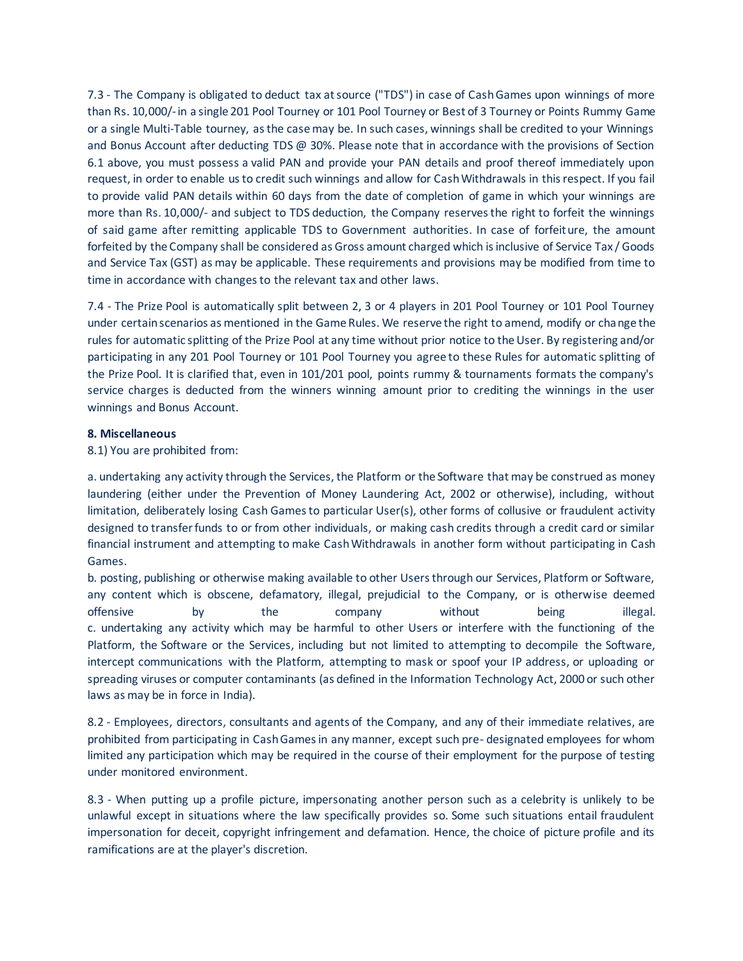7.3 - The Company is obligated to deduct tax at source ("TDS") in case of Cash Games upon winnings of more than Rs. 10,000/-in a single 201 Pool Tourney or 101 Pool Tourney or Best of 3 Tourney or Points Rummy Game or a single Multi-Table tourney, as the case may be. In such cases, winnings shall be credited to your Winnings and Bonus Account after deducting TDS @ 30%. Please note that in accordance with the provisions of Section 6.1 above, you must possess a valid PAN and provide your PAN details and proof thereof immediately upon request, in order to enable us to credit such winnings and allow for Cash Withdrawals in this respect. If you fail to provide valid PAN details within 60 days from the date of completion of game in which your winnings are more than Rs. 10,000/- and subject to TDS deduction, the Company reserves the right to forfeit the winnings of said game after remitting applicable TDS to Government authorities. In case of forfeiture, the amount forfeited by the Company shall be considered as Gross amount charged which is inclusive of Service Tax / Goods and Service Tax (GST) as may be applicable. These requirements and provisions may be modified from time to time in accordance with changes to the relevant tax and other laws.

7.4 - The Prize Pool is automatically split between 2, 3 or 4 players in 201 Pool Tourney or 101 Pool Tourney under certain scenarios as mentioned in the Game Rules. We reserve the right to amend, modify or change the rules for automatic splitting of the Prize Pool at any time without prior notice to the User. By registering and/or participating in any 201 Pool Tourney or 101 Pool Tourney you agree to these Rules for automatic splitting of the Prize Pool. It is clarified that, even in 101/201 pool, points rummy & tournaments formats the company's service charges is deducted from the winners winning amount prior to crediting the winnings in the user winnings and Bonus Account.

### **8. Miscellaneous**

8.1) You are prohibited from:

a. undertaking any activity through the Services, the Platform or the Software that may be construed as money laundering (either under the Prevention of Money Laundering Act, 2002 or otherwise), including, without limitation, deliberately losing Cash Games to particular User(s), other forms of collusive or fraudulent activity designed to transfer funds to or from other individuals, or making cash credits through a credit card or similar financial instrument and attempting to make Cash Withdrawals in another form without participating in Cash Games.

b. posting, publishing or otherwise making available to other Users through our Services, Platform or Software, any content which is obscene, defamatory, illegal, prejudicial to the Company, or is otherwise deemed offensive by the company without being illegal. c. undertaking any activity which may be harmful to other Users or interfere with the functioning of the Platform, the Software or the Services, including but not limited to attempting to decompile the Software, intercept communications with the Platform, attempting to mask or spoof your IP address, or uploading or spreading viruses or computer contaminants (as defined in the Information Technology Act, 2000 or such other laws as may be in force in India).

8.2 - Employees, directors, consultants and agents of the Company, and any of their immediate relatives, are prohibited from participating in Cash Games in any manner, except such pre- designated employees for whom limited any participation which may be required in the course of their employment for the purpose of testing under monitored environment.

8.3 - When putting up a profile picture, impersonating another person such as a celebrity is unlikely to be unlawful except in situations where the law specifically provides so. Some such situations entail fraudulent impersonation for deceit, copyright infringement and defamation. Hence, the choice of picture profile and its ramifications are at the player's discretion.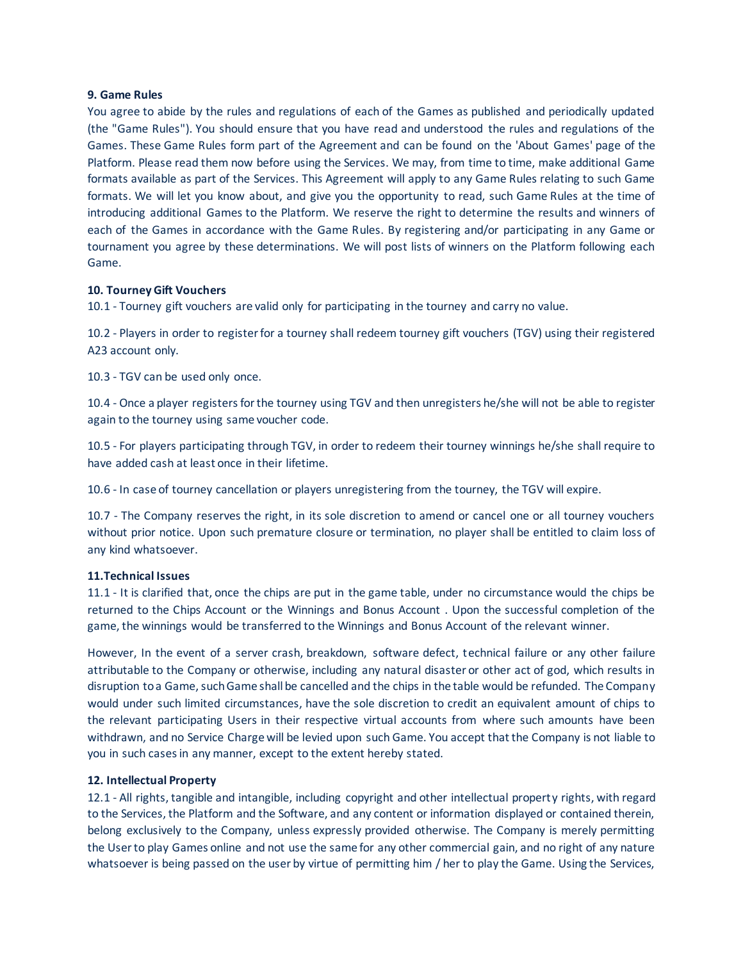### **9. Game Rules**

You agree to abide by the rules and regulations of each of the Games as published and periodically updated (the "Game Rules"). You should ensure that you have read and understood the rules and regulations of the Games. These Game Rules form part of the Agreement and can be found on the 'About Games' page of the Platform. Please read them now before using the Services. We may, from time to time, make additional Game formats available as part of the Services. This Agreement will apply to any Game Rules relating to such Game formats. We will let you know about, and give you the opportunity to read, such Game Rules at the time of introducing additional Games to the Platform. We reserve the right to determine the results and winners of each of the Games in accordance with the Game Rules. By registering and/or participating in any Game or tournament you agree by these determinations. We will post lists of winners on the Platform following each Game.

#### **10. Tourney Gift Vouchers**

10.1 - Tourney gift vouchers are valid only for participating in the tourney and carry no value.

10.2 - Players in order to register for a tourney shall redeem tourney gift vouchers (TGV) using their registered A23 account only.

10.3 - TGV can be used only once.

10.4 - Once a player registers for the tourney using TGV and then unregisters he/she will not be able to register again to the tourney using same voucher code.

10.5 - For players participating through TGV, in order to redeem their tourney winnings he/she shall require to have added cash at least once in their lifetime.

10.6 - In case of tourney cancellation or players unregistering from the tourney, the TGV will expire.

10.7 - The Company reserves the right, in its sole discretion to amend or cancel one or all tourney vouchers without prior notice. Upon such premature closure or termination, no player shall be entitled to claim loss of any kind whatsoever.

#### **11.Technical Issues**

11.1 - It is clarified that, once the chips are put in the game table, under no circumstance would the chips be returned to the Chips Account or the Winnings and Bonus Account . Upon the successful completion of the game, the winnings would be transferred to the Winnings and Bonus Account of the relevant winner.

However, In the event of a server crash, breakdown, software defect, technical failure or any other failure attributable to the Company or otherwise, including any natural disaster or other act of god, which results in disruption to a Game, such Game shall be cancelled and the chips in the table would be refunded. The Company would under such limited circumstances, have the sole discretion to credit an equivalent amount of chips to the relevant participating Users in their respective virtual accounts from where such amounts have been withdrawn, and no Service Charge will be levied upon such Game. You accept that the Company is not liable to you in such cases in any manner, except to the extent hereby stated.

#### **12. Intellectual Property**

12.1 - All rights, tangible and intangible, including copyright and other intellectual property rights, with regard to the Services, the Platform and the Software, and any content or information displayed or contained therein, belong exclusively to the Company, unless expressly provided otherwise. The Company is merely permitting the User to play Games online and not use the same for any other commercial gain, and no right of any nature whatsoever is being passed on the user by virtue of permitting him / her to play the Game. Using the Services,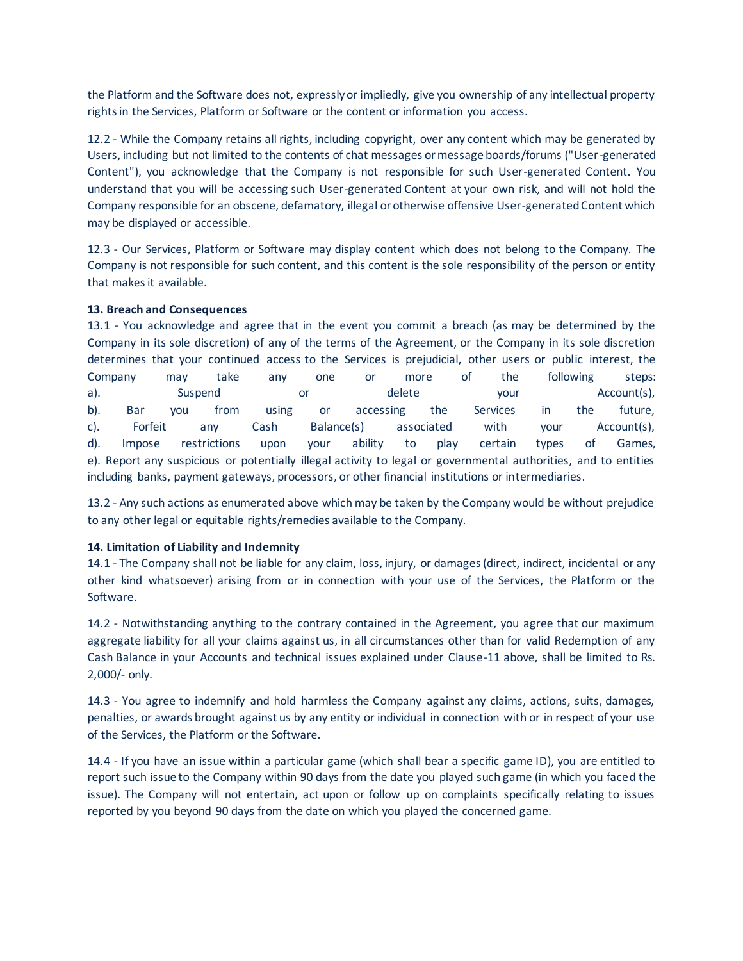the Platform and the Software does not, expressly or impliedly, give you ownership of any intellectual property rights in the Services, Platform or Software or the content or information you access.

12.2 - While the Company retains all rights, including copyright, over any content which may be generated by Users, including but not limited to the contents of chat messages or message boards/forums ("User-generated Content"), you acknowledge that the Company is not responsible for such User-generated Content. You understand that you will be accessing such User-generated Content at your own risk, and will not hold the Company responsible for an obscene, defamatory, illegal or otherwise offensive User-generated Content which may be displayed or accessible.

12.3 - Our Services, Platform or Software may display content which does not belong to the Company. The Company is not responsible for such content, and this content is the sole responsibility of the person or entity that makes it available.

# **13. Breach and Consequences**

13.1 - You acknowledge and agree that in the event you commit a breach (as may be determined by the Company in its sole discretion) of any of the terms of the Agreement, or the Company in its sole discretion determines that your continued access to the Services is prejudicial, other users or public interest, the Company may take any one or more of the following steps: a). Suspend or delete your Account(s), b). Bar you from using or accessing the Services in the future, c). Forfeit any Cash Balance(s) associated with your Account(s), d). Impose restrictions upon your ability to play certain types of Games, e). Report any suspicious or potentially illegal activity to legal or governmental authorities, and to entities including banks, payment gateways, processors, or other financial institutions or intermediaries.

13.2 - Any such actions as enumerated above which may be taken by the Company would be without prejudice to any other legal or equitable rights/remedies available to the Company.

# **14. Limitation of Liability and Indemnity**

14.1 - The Company shall not be liable for any claim, loss, injury, or damages (direct, indirect, incidental or any other kind whatsoever) arising from or in connection with your use of the Services, the Platform or the Software.

14.2 - Notwithstanding anything to the contrary contained in the Agreement, you agree that our maximum aggregate liability for all your claims against us, in all circumstances other than for valid Redemption of any Cash Balance in your Accounts and technical issues explained under Clause-11 above, shall be limited to Rs. 2,000/- only.

14.3 - You agree to indemnify and hold harmless the Company against any claims, actions, suits, damages, penalties, or awards brought against us by any entity or individual in connection with or in respect of your use of the Services, the Platform or the Software.

14.4 - If you have an issue within a particular game (which shall bear a specific game ID), you are entitled to report such issue to the Company within 90 days from the date you played such game (in which you faced the issue). The Company will not entertain, act upon or follow up on complaints specifically relating to issues reported by you beyond 90 days from the date on which you played the concerned game.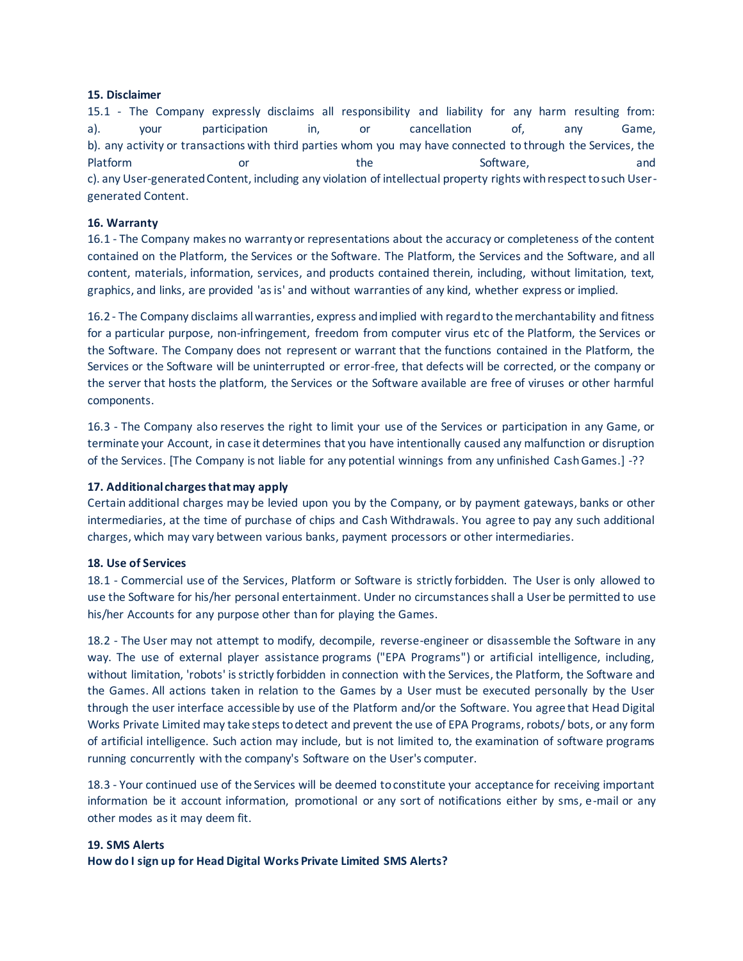### **15. Disclaimer**

15.1 - The Company expressly disclaims all responsibility and liability for any harm resulting from: a). your participation in, or cancellation of, any Game, b). any activity or transactions with third parties whom you may have connected to through the Services, the Platform **or** or the Software, and c). any User-generated Content, including any violation of intellectual property rights with respect to such Usergenerated Content.

# **16. Warranty**

16.1 - The Company makes no warranty or representations about the accuracy or completeness of the content contained on the Platform, the Services or the Software. The Platform, the Services and the Software, and all content, materials, information, services, and products contained therein, including, without limitation, text, graphics, and links, are provided 'as is' and without warranties of any kind, whether express or implied.

16.2 - The Company disclaims all warranties, express and implied with regard to the merchantability and fitness for a particular purpose, non-infringement, freedom from computer virus etc of the Platform, the Services or the Software. The Company does not represent or warrant that the functions contained in the Platform, the Services or the Software will be uninterrupted or error-free, that defects will be corrected, or the company or the server that hosts the platform, the Services or the Software available are free of viruses or other harmful components.

16.3 - The Company also reserves the right to limit your use of the Services or participation in any Game, or terminate your Account, in case it determines that you have intentionally caused any malfunction or disruption of the Services. [The Company is not liable for any potential winnings from any unfinished Cash Games.] -??

# **17. Additional charges that may apply**

Certain additional charges may be levied upon you by the Company, or by payment gateways, banks or other intermediaries, at the time of purchase of chips and Cash Withdrawals. You agree to pay any such additional charges, which may vary between various banks, payment processors or other intermediaries.

# **18. Use of Services**

18.1 - Commercial use of the Services, Platform or Software is strictly forbidden. The User is only allowed to use the Software for his/her personal entertainment. Under no circumstances shall a User be permitted to use his/her Accounts for any purpose other than for playing the Games.

18.2 - The User may not attempt to modify, decompile, reverse-engineer or disassemble the Software in any way. The use of external player assistance programs ("EPA Programs") or artificial intelligence, including, without limitation, 'robots' is strictly forbidden in connection with the Services, the Platform, the Software and the Games. All actions taken in relation to the Games by a User must be executed personally by the User through the user interface accessible by use of the Platform and/or the Software. You agree that Head Digital Works Private Limited may take steps to detect and prevent the use of EPA Programs, robots/ bots, or any form of artificial intelligence. Such action may include, but is not limited to, the examination of software programs running concurrently with the company's Software on the User's computer.

18.3 - Your continued use of the Services will be deemed to constitute your acceptance for receiving important information be it account information, promotional or any sort of notifications either by sms, e-mail or any other modes as it may deem fit.

# **19. SMS Alerts**

**How do I sign up for Head Digital Works Private Limited SMS Alerts?**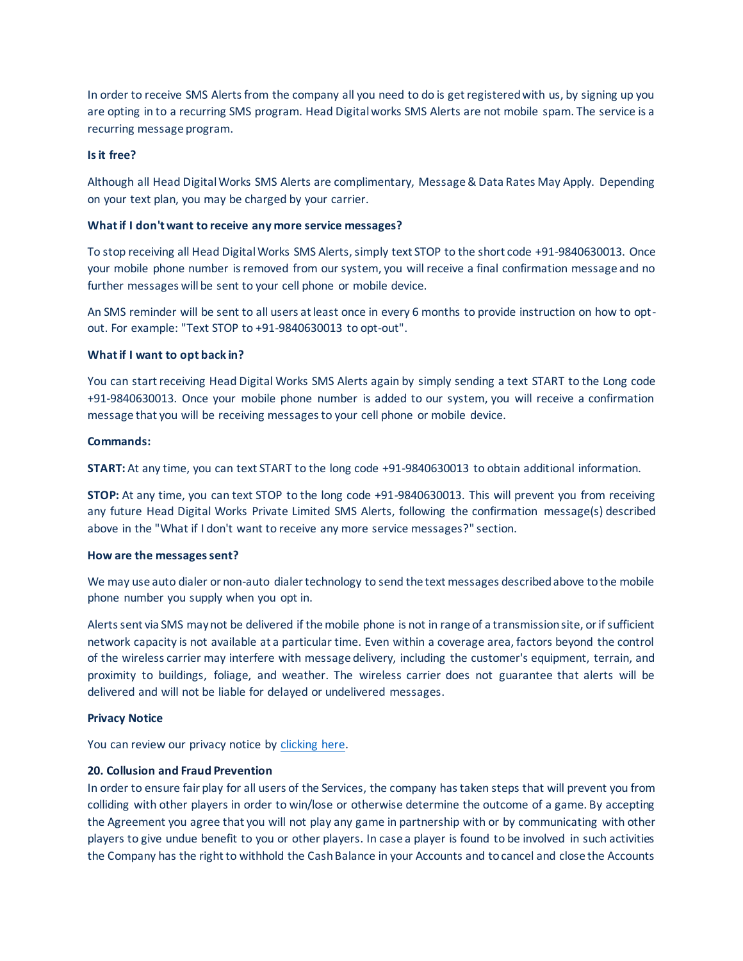In order to receive SMS Alerts from the company all you need to do is get registered with us, by signing up you are opting in to a recurring SMS program. Head Digital works SMS Alerts are not mobile spam. The service is a recurring message program.

#### **Is it free?**

Although all Head Digital Works SMS Alerts are complimentary, Message & Data Rates May Apply. Depending on your text plan, you may be charged by your carrier.

### **What if I don't want to receive any more service messages?**

To stop receiving all Head Digital Works SMS Alerts, simply text STOP to the short code +91-9840630013. Once your mobile phone number is removed from our system, you will receive a final confirmation message and no further messages will be sent to your cell phone or mobile device.

An SMS reminder will be sent to all users at least once in every 6 months to provide instruction on how to optout. For example: "Text STOP to +91-9840630013 to opt-out".

### **What if I want to opt back in?**

You can start receiving Head Digital Works SMS Alerts again by simply sending a text START to the Long code +91-9840630013. Once your mobile phone number is added to our system, you will receive a confirmation message that you will be receiving messages to your cell phone or mobile device.

#### **Commands:**

**START:** At any time, you can text START to the long code +91-9840630013 to obtain additional information.

**STOP:** At any time, you can text STOP to the long code +91-9840630013. This will prevent you from receiving any future Head Digital Works Private Limited SMS Alerts, following the confirmation message(s) described above in the "What if I don't want to receive any more service messages?" section.

#### **How are the messages sent?**

We may use auto dialer or non-auto dialer technology to send the text messages described above to the mobile phone number you supply when you opt in.

Alerts sent via SMS may not be delivered if the mobile phone is not in range of a transmission site, or if sufficient network capacity is not available at a particular time. Even within a coverage area, factors beyond the control of the wireless carrier may interfere with message delivery, including the customer's equipment, terrain, and proximity to buildings, foliage, and weather. The wireless carrier does not guarantee that alerts will be delivered and will not be liable for delayed or undelivered messages.

#### **Privacy Notice**

You can review our privacy notice by clicking here.

# **20. Collusion and Fraud Prevention**

In order to ensure fair play for all users of the Services, the company has taken steps that will prevent you from colliding with other players in order to win/lose or otherwise determine the outcome of a game. By accepting the Agreement you agree that you will not play any game in partnership with or by communicating with other players to give undue benefit to you or other players. In case a player is found to be involved in such activities the Company has the right to withhold the Cash Balance in your Accounts and to cancel and close the Accounts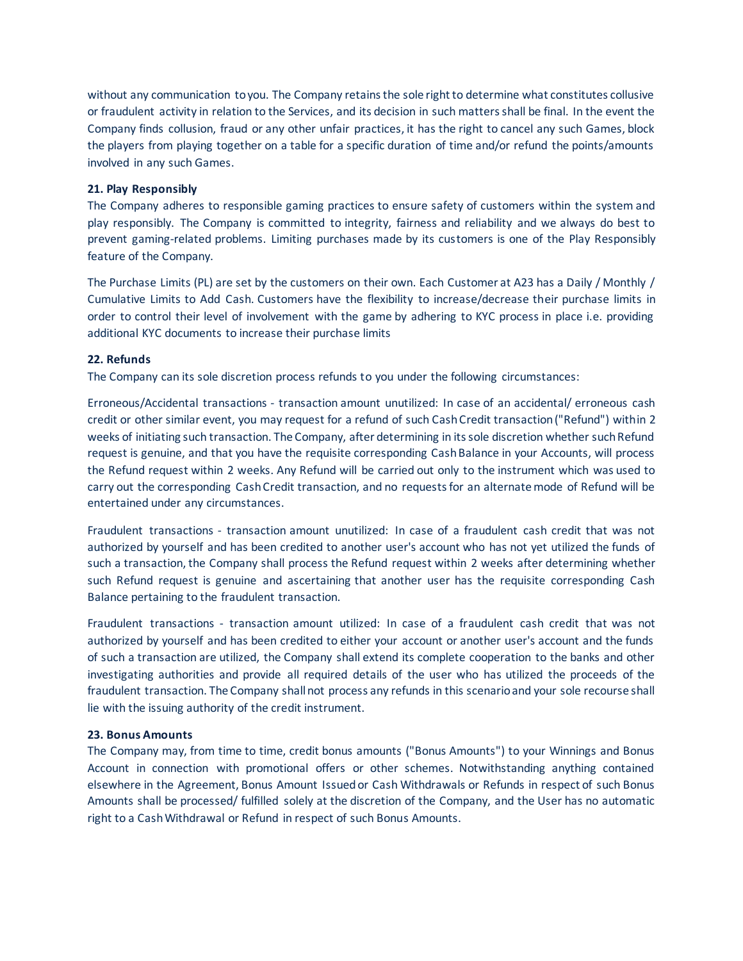without any communication to you. The Company retains the sole right to determine what constitutes collusive or fraudulent activity in relation to the Services, and its decision in such matters shall be final. In the event the Company finds collusion, fraud or any other unfair practices, it has the right to cancel any such Games, block the players from playing together on a table for a specific duration of time and/or refund the points/amounts involved in any such Games.

### **21. Play Responsibly**

The Company adheres to responsible gaming practices to ensure safety of customers within the system and play responsibly. The Company is committed to integrity, fairness and reliability and we always do best to prevent gaming-related problems. Limiting purchases made by its customers is one of the Play Responsibly feature of the Company.

The Purchase Limits (PL) are set by the customers on their own. Each Customer at A23 has a Daily / Monthly / Cumulative Limits to Add Cash. Customers have the flexibility to increase/decrease their purchase limits in order to control their level of involvement with the game by adhering to KYC process in place i.e. providing additional KYC documents to increase their purchase limits

# **22. Refunds**

The Company can its sole discretion process refunds to you under the following circumstances:

Erroneous/Accidental transactions - transaction amount unutilized: In case of an accidental/ erroneous cash credit or other similar event, you may request for a refund of such Cash Credit transaction ("Refund") within 2 weeks of initiating such transaction. The Company, after determining in its sole discretion whether such Refund request is genuine, and that you have the requisite corresponding Cash Balance in your Accounts, will process the Refund request within 2 weeks. Any Refund will be carried out only to the instrument which was used to carry out the corresponding Cash Credit transaction, and no requests for an alternate mode of Refund will be entertained under any circumstances.

Fraudulent transactions - transaction amount unutilized: In case of a fraudulent cash credit that was not authorized by yourself and has been credited to another user's account who has not yet utilized the funds of such a transaction, the Company shall process the Refund request within 2 weeks after determining whether such Refund request is genuine and ascertaining that another user has the requisite corresponding Cash Balance pertaining to the fraudulent transaction.

Fraudulent transactions - transaction amount utilized: In case of a fraudulent cash credit that was not authorized by yourself and has been credited to either your account or another user's account and the funds of such a transaction are utilized, the Company shall extend its complete cooperation to the banks and other investigating authorities and provide all required details of the user who has utilized the proceeds of the fraudulent transaction. The Company shall not process any refunds in this scenario and your sole recourse shall lie with the issuing authority of the credit instrument.

#### **23. Bonus Amounts**

The Company may, from time to time, credit bonus amounts ("Bonus Amounts") to your Winnings and Bonus Account in connection with promotional offers or other schemes. Notwithstanding anything contained elsewhere in the Agreement, Bonus Amount Issued or Cash Withdrawals or Refunds in respect of such Bonus Amounts shall be processed/ fulfilled solely at the discretion of the Company, and the User has no automatic right to a Cash Withdrawal or Refund in respect of such Bonus Amounts.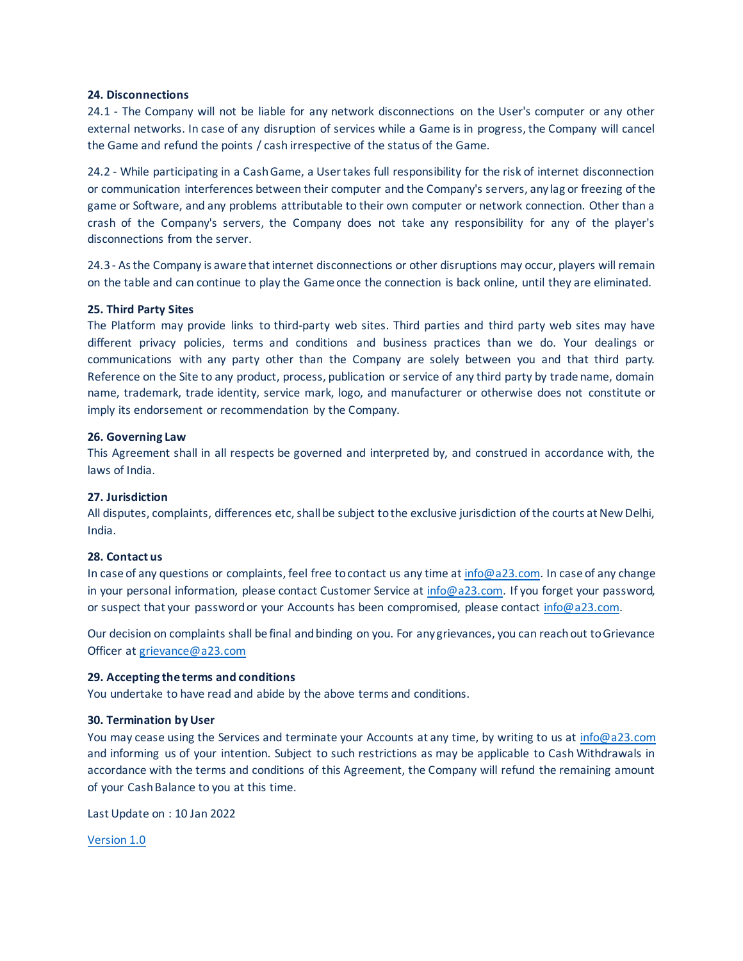#### **24. Disconnections**

24.1 - The Company will not be liable for any network disconnections on the User's computer or any other external networks. In case of any disruption of services while a Game is in progress, the Company will cancel the Game and refund the points / cash irrespective of the status of the Game.

24.2 - While participating in a Cash Game, a User takes full responsibility for the risk of internet disconnection or communication interferences between their computer and the Company's servers, any lag or freezing of the game or Software, and any problems attributable to their own computer or network connection. Other than a crash of the Company's servers, the Company does not take any responsibility for any of the player's disconnections from the server.

24.3 - As the Company is aware that internet disconnections or other disruptions may occur, players will remain on the table and can continue to play the Game once the connection is back online, until they are eliminated.

# **25. Third Party Sites**

The Platform may provide links to third-party web sites. Third parties and third party web sites may have different privacy policies, terms and conditions and business practices than we do. Your dealings or communications with any party other than the Company are solely between you and that third party. Reference on the Site to any product, process, publication or service of any third party by trade name, domain name, trademark, trade identity, service mark, logo, and manufacturer or otherwise does not constitute or imply its endorsement or recommendation by the Company.

### **26. Governing Law**

This Agreement shall in all respects be governed and interpreted by, and construed in accordance with, the laws of India.

# **27. Jurisdiction**

All disputes, complaints, differences etc, shall be subject to the exclusive jurisdiction of the courts at New Delhi, India.

# **28. Contact us**

In case of any questions or complaints, feel free to contact us any time at info@a23.com. In case of any change in your personal information, please contact Customer Service at info@a23.com. If you forget your password, or suspect that your password or your Accounts has been compromised, please contact info@a23.com.

Our decision on complaints shall be final and binding on you. For any grievances, you can reach out to Grievance Officer at grievance@a23.com

# **29. Accepting the terms and conditions**

You undertake to have read and abide by the above terms and conditions.

#### **30. Termination by User**

You may cease using the Services and terminate your Accounts at any time, by writing to us at info@a23.com and informing us of your intention. Subject to such restrictions as may be applicable to Cash Withdrawals in accordance with the terms and conditions of this Agreement, the Company will refund the remaining amount of your Cash Balance to you at this time.

Last Update on : 10 Jan 2022

Version 1.0